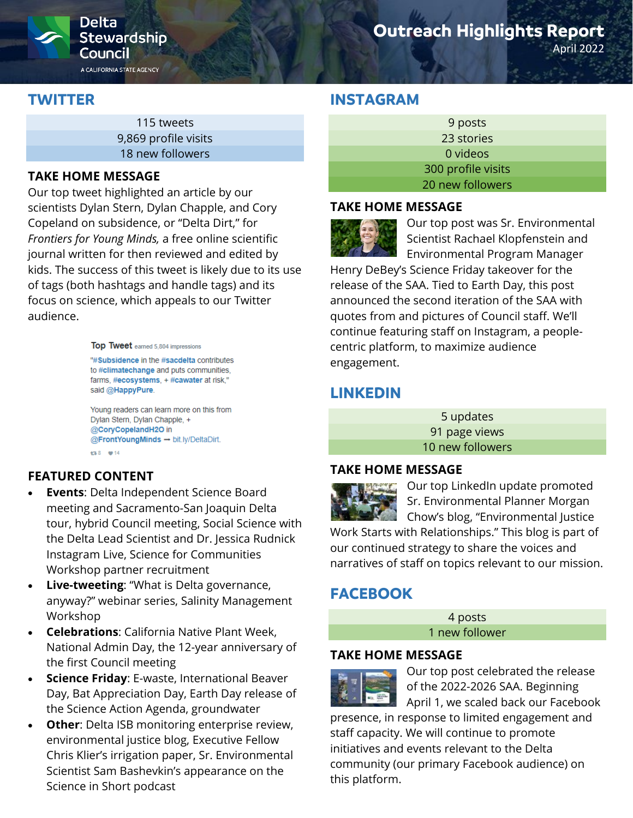

# **Outreach Highlights Report**

April 2022

# **TWITTER**

115 tweets 9,869 profile visits 18 new followers

#### **TAKE HOME MESSAGE**

Our top tweet highlighted an article by our scientists Dylan Stern, Dylan Chapple, and Cory Copeland on subsidence, or "Delta Dirt," for *Frontiers for Young Minds,* a free online scientific journal written for then reviewed and edited by kids. The success of this tweet is likely due to its use of tags (both hashtags and handle tags) and its focus on science, which appeals to our Twitter audience.

Top Tweet earned 5,804 impressions

"#Subsidence in the #sacdelta contributes to #climatechange and puts communities, farms, #ecosystems, + #cawater at risk," said @HappyPure.

Young readers can learn more on this from Dylan Stern, Dylan Chapple, + @CoryCopelandH2O in @FrontYoungMinds → bit.ly/DeltaDirt. €3.8 ₩14

## **FEATURED CONTENT**

- **Events**: Delta Independent Science Board meeting and Sacramento-San Joaquin Delta tour, hybrid Council meeting, Social Science with the Delta Lead Scientist and Dr. Jessica Rudnick Instagram Live, Science for Communities Workshop partner recruitment
- **Live-tweeting:** "What is Delta governance, anyway?" webinar series, Salinity Management Workshop
- **Celebrations**: California Native Plant Week, National Admin Day, the 12-year anniversary of the first Council meeting
- **Science Friday**: E-waste, International Beaver Day, Bat Appreciation Day, Earth Day release of the Science Action Agenda, groundwater
- **Other**: Delta ISB monitoring enterprise review, environmental justice blog, Executive Fellow Chris Klier's irrigation paper, Sr. Environmental Scientist Sam Bashevkin's appearance on the Science in Short podcast

# **INSTAGRAM**

| 9 posts            |  |
|--------------------|--|
| 23 stories         |  |
| 0 videos           |  |
| 300 profile visits |  |
| 20 new followers   |  |

#### **TAKE HOME MESSAGE**



Our top post was Sr. Environmental Scientist Rachael Klopfenstein and Environmental Program Manager

Henry DeBey's Science Friday takeover for the release of the SAA. Tied to Earth Day, this post announced the second iteration of the SAA with quotes from and pictures of Council staff. We'll continue featuring staff on Instagram, a peoplecentric platform, to maximize audience engagement.

# **LINKEDIN**

5 updates 91 page views 10 new followers

#### **TAKE HOME MESSAGE**



Our top LinkedIn update promoted Sr. Environmental Planner Morgan Chow's blog, "Environmental Justice

Work Starts with Relationships." This blog is part of our continued strategy to share the voices and narratives of staff on topics relevant to our mission.

# **FACEBOOK**

4 posts 1 new follower

#### **TAKE HOME MESSAGE**



Our top post celebrated the release of the 2022-2026 SAA. Beginning April 1, we scaled back our Facebook

presence, in response to limited engagement and staff capacity. We will continue to promote initiatives and events relevant to the Delta community (our primary Facebook audience) on this platform.